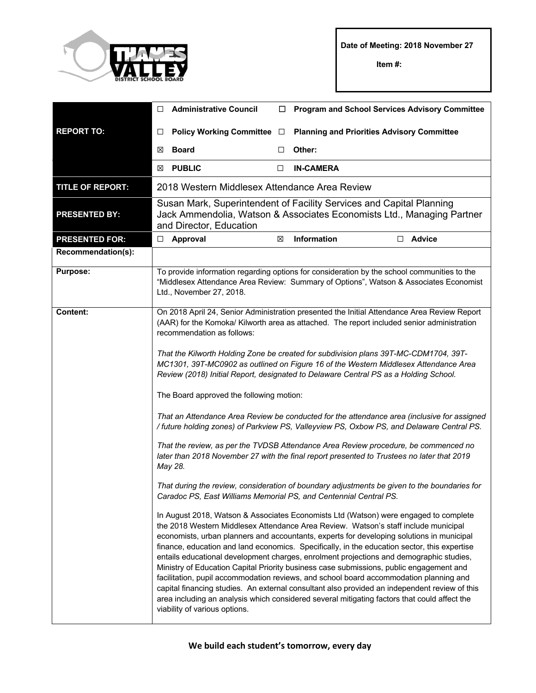

**Item #:**

|                         | $\Box$                                                                                                                                                                                                                                                                                                                                                                                                                                                                                                                                                                                                                                                                                                                                                                                                                                                                                                                                                                                                                                                                                                                                                                                                                                                                                                                                                                                                                                                                                                                                                                                                                                                                                                                                                                                                                                                                                                                                                                                                     | <b>Administrative Council</b>                 | □ | <b>Program and School Services Advisory Committee</b>                                                                                                                                |  |
|-------------------------|------------------------------------------------------------------------------------------------------------------------------------------------------------------------------------------------------------------------------------------------------------------------------------------------------------------------------------------------------------------------------------------------------------------------------------------------------------------------------------------------------------------------------------------------------------------------------------------------------------------------------------------------------------------------------------------------------------------------------------------------------------------------------------------------------------------------------------------------------------------------------------------------------------------------------------------------------------------------------------------------------------------------------------------------------------------------------------------------------------------------------------------------------------------------------------------------------------------------------------------------------------------------------------------------------------------------------------------------------------------------------------------------------------------------------------------------------------------------------------------------------------------------------------------------------------------------------------------------------------------------------------------------------------------------------------------------------------------------------------------------------------------------------------------------------------------------------------------------------------------------------------------------------------------------------------------------------------------------------------------------------------|-----------------------------------------------|---|--------------------------------------------------------------------------------------------------------------------------------------------------------------------------------------|--|
| <b>REPORT TO:</b>       | $\Box$                                                                                                                                                                                                                                                                                                                                                                                                                                                                                                                                                                                                                                                                                                                                                                                                                                                                                                                                                                                                                                                                                                                                                                                                                                                                                                                                                                                                                                                                                                                                                                                                                                                                                                                                                                                                                                                                                                                                                                                                     | Policy Working Committee □                    |   | <b>Planning and Priorities Advisory Committee</b>                                                                                                                                    |  |
|                         | ⊠                                                                                                                                                                                                                                                                                                                                                                                                                                                                                                                                                                                                                                                                                                                                                                                                                                                                                                                                                                                                                                                                                                                                                                                                                                                                                                                                                                                                                                                                                                                                                                                                                                                                                                                                                                                                                                                                                                                                                                                                          | <b>Board</b>                                  | □ | Other:                                                                                                                                                                               |  |
|                         | ⊠                                                                                                                                                                                                                                                                                                                                                                                                                                                                                                                                                                                                                                                                                                                                                                                                                                                                                                                                                                                                                                                                                                                                                                                                                                                                                                                                                                                                                                                                                                                                                                                                                                                                                                                                                                                                                                                                                                                                                                                                          | <b>PUBLIC</b>                                 | □ | <b>IN-CAMERA</b>                                                                                                                                                                     |  |
| <b>TITLE OF REPORT:</b> |                                                                                                                                                                                                                                                                                                                                                                                                                                                                                                                                                                                                                                                                                                                                                                                                                                                                                                                                                                                                                                                                                                                                                                                                                                                                                                                                                                                                                                                                                                                                                                                                                                                                                                                                                                                                                                                                                                                                                                                                            | 2018 Western Middlesex Attendance Area Review |   |                                                                                                                                                                                      |  |
| <b>PRESENTED BY:</b>    | Susan Mark, Superintendent of Facility Services and Capital Planning<br>Jack Ammendolia, Watson & Associates Economists Ltd., Managing Partner<br>and Director, Education                                                                                                                                                                                                                                                                                                                                                                                                                                                                                                                                                                                                                                                                                                                                                                                                                                                                                                                                                                                                                                                                                                                                                                                                                                                                                                                                                                                                                                                                                                                                                                                                                                                                                                                                                                                                                                  |                                               |   |                                                                                                                                                                                      |  |
| <b>PRESENTED FOR:</b>   | $\Box$                                                                                                                                                                                                                                                                                                                                                                                                                                                                                                                                                                                                                                                                                                                                                                                                                                                                                                                                                                                                                                                                                                                                                                                                                                                                                                                                                                                                                                                                                                                                                                                                                                                                                                                                                                                                                                                                                                                                                                                                     | Approval                                      | X | Information<br><b>Advice</b><br>□                                                                                                                                                    |  |
| Recommendation(s):      |                                                                                                                                                                                                                                                                                                                                                                                                                                                                                                                                                                                                                                                                                                                                                                                                                                                                                                                                                                                                                                                                                                                                                                                                                                                                                                                                                                                                                                                                                                                                                                                                                                                                                                                                                                                                                                                                                                                                                                                                            |                                               |   |                                                                                                                                                                                      |  |
| <b>Purpose:</b>         |                                                                                                                                                                                                                                                                                                                                                                                                                                                                                                                                                                                                                                                                                                                                                                                                                                                                                                                                                                                                                                                                                                                                                                                                                                                                                                                                                                                                                                                                                                                                                                                                                                                                                                                                                                                                                                                                                                                                                                                                            | Ltd., November 27, 2018.                      |   | To provide information regarding options for consideration by the school communities to the<br>"Middlesex Attendance Area Review: Summary of Options", Watson & Associates Economist |  |
| <b>Content:</b>         | On 2018 April 24, Senior Administration presented the Initial Attendance Area Review Report<br>(AAR) for the Komoka/ Kilworth area as attached. The report included senior administration<br>recommendation as follows:<br>That the Kilworth Holding Zone be created for subdivision plans 39T-MC-CDM1704, 39T-<br>MC1301, 39T-MC0902 as outlined on Figure 16 of the Western Middlesex Attendance Area<br>Review (2018) Initial Report, designated to Delaware Central PS as a Holding School.<br>The Board approved the following motion:<br>That an Attendance Area Review be conducted for the attendance area (inclusive for assigned<br>/ future holding zones) of Parkview PS, Valleyview PS, Oxbow PS, and Delaware Central PS.<br>That the review, as per the TVDSB Attendance Area Review procedure, be commenced no<br>later than 2018 November 27 with the final report presented to Trustees no later that 2019<br>May 28.<br>That during the review, consideration of boundary adjustments be given to the boundaries for<br>Caradoc PS, East Williams Memorial PS, and Centennial Central PS.<br>In August 2018, Watson & Associates Economists Ltd (Watson) were engaged to complete<br>the 2018 Western Middlesex Attendance Area Review. Watson's staff include municipal<br>economists, urban planners and accountants, experts for developing solutions in municipal<br>finance, education and land economics. Specifically, in the education sector, this expertise<br>entails educational development charges, enrolment projections and demographic studies,<br>Ministry of Education Capital Priority business case submissions, public engagement and<br>facilitation, pupil accommodation reviews, and school board accommodation planning and<br>capital financing studies. An external consultant also provided an independent review of this<br>area including an analysis which considered several mitigating factors that could affect the<br>viability of various options. |                                               |   |                                                                                                                                                                                      |  |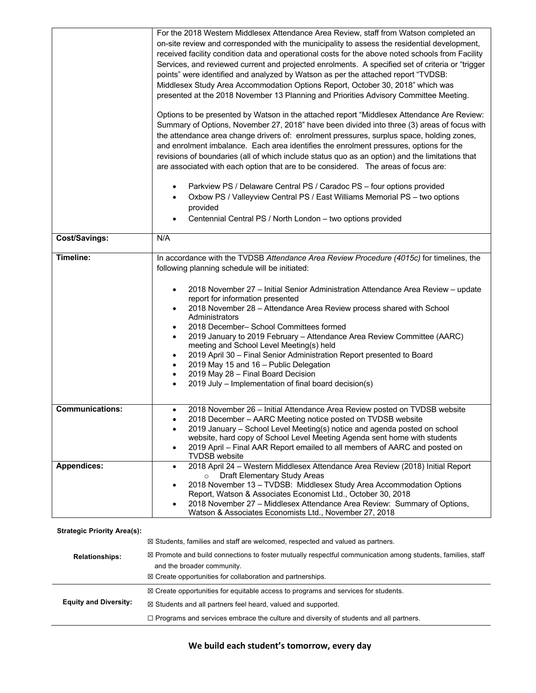|                                    | For the 2018 Western Middlesex Attendance Area Review, staff from Watson completed an<br>on-site review and corresponded with the municipality to assess the residential development,<br>received facility condition data and operational costs for the above noted schools from Facility<br>Services, and reviewed current and projected enrolments. A specified set of criteria or "trigger<br>points" were identified and analyzed by Watson as per the attached report "TVDSB:<br>Middlesex Study Area Accommodation Options Report, October 30, 2018" which was<br>presented at the 2018 November 13 Planning and Priorities Advisory Committee Meeting.<br>Options to be presented by Watson in the attached report "Middlesex Attendance Are Review:<br>Summary of Options, November 27, 2018" have been divided into three (3) areas of focus with<br>the attendance area change drivers of: enrolment pressures, surplus space, holding zones,<br>and enrolment imbalance. Each area identifies the enrolment pressures, options for the<br>revisions of boundaries (all of which include status quo as an option) and the limitations that<br>are associated with each option that are to be considered. The areas of focus are:<br>Parkview PS / Delaware Central PS / Caradoc PS - four options provided<br>Oxbow PS / Valleyview Central PS / East Williams Memorial PS - two options<br>provided<br>Centennial Central PS / North London - two options provided |
|------------------------------------|-------------------------------------------------------------------------------------------------------------------------------------------------------------------------------------------------------------------------------------------------------------------------------------------------------------------------------------------------------------------------------------------------------------------------------------------------------------------------------------------------------------------------------------------------------------------------------------------------------------------------------------------------------------------------------------------------------------------------------------------------------------------------------------------------------------------------------------------------------------------------------------------------------------------------------------------------------------------------------------------------------------------------------------------------------------------------------------------------------------------------------------------------------------------------------------------------------------------------------------------------------------------------------------------------------------------------------------------------------------------------------------------------------------------------------------------------------------------------------|
| Cost/Savings:                      | N/A                                                                                                                                                                                                                                                                                                                                                                                                                                                                                                                                                                                                                                                                                                                                                                                                                                                                                                                                                                                                                                                                                                                                                                                                                                                                                                                                                                                                                                                                           |
| Timeline:                          | In accordance with the TVDSB Attendance Area Review Procedure (4015c) for timelines, the<br>following planning schedule will be initiated:<br>2018 November 27 - Initial Senior Administration Attendance Area Review - update<br>report for information presented<br>2018 November 28 - Attendance Area Review process shared with School<br>Administrators<br>2018 December- School Committees formed<br>2019 January to 2019 February - Attendance Area Review Committee (AARC)<br>meeting and School Level Meeting(s) held<br>2019 April 30 - Final Senior Administration Report presented to Board<br>2019 May 15 and 16 - Public Delegation<br>2019 May 28 - Final Board Decision<br>2019 July - Implementation of final board decision(s)                                                                                                                                                                                                                                                                                                                                                                                                                                                                                                                                                                                                                                                                                                                              |
| <b>Communications:</b>             | 2018 November 26 - Initial Attendance Area Review posted on TVDSB website<br>2018 December - AARC Meeting notice posted on TVDSB website<br>2019 January - School Level Meeting(s) notice and agenda posted on school<br>$\bullet$<br>website, hard copy of School Level Meeting Agenda sent home with students<br>2019 April - Final AAR Report emailed to all members of AARC and posted on<br>$\bullet$<br><b>TVDSB</b> website                                                                                                                                                                                                                                                                                                                                                                                                                                                                                                                                                                                                                                                                                                                                                                                                                                                                                                                                                                                                                                            |
| Appendices:                        | 2018 April 24 - Western Middlesex Attendance Area Review (2018) Initial Report<br>$\bullet$<br>Draft Elementary Study Areas<br>$\circ$<br>2018 November 13 - TVDSB: Middlesex Study Area Accommodation Options<br>Report, Watson & Associates Economist Ltd., October 30, 2018<br>2018 November 27 - Middlesex Attendance Area Review: Summary of Options,<br>Watson & Associates Economists Ltd., November 27, 2018                                                                                                                                                                                                                                                                                                                                                                                                                                                                                                                                                                                                                                                                                                                                                                                                                                                                                                                                                                                                                                                          |
| <b>Strategic Priority Area(s):</b> |                                                                                                                                                                                                                                                                                                                                                                                                                                                                                                                                                                                                                                                                                                                                                                                                                                                                                                                                                                                                                                                                                                                                                                                                                                                                                                                                                                                                                                                                               |
| <b>Relationships:</b>              | $\boxtimes$ Students, families and staff are welcomed, respected and valued as partners.<br>⊠ Promote and build connections to foster mutually respectful communication among students, families, staff<br>and the broader community.<br>$\boxtimes$ Create opportunities for collaboration and partnerships.                                                                                                                                                                                                                                                                                                                                                                                                                                                                                                                                                                                                                                                                                                                                                                                                                                                                                                                                                                                                                                                                                                                                                                 |
|                                    | $\boxtimes$ Create opportunities for equitable access to programs and services for students.                                                                                                                                                                                                                                                                                                                                                                                                                                                                                                                                                                                                                                                                                                                                                                                                                                                                                                                                                                                                                                                                                                                                                                                                                                                                                                                                                                                  |
| <b>Equity and Diversity:</b>       | ⊠ Students and all partners feel heard, valued and supported.                                                                                                                                                                                                                                                                                                                                                                                                                                                                                                                                                                                                                                                                                                                                                                                                                                                                                                                                                                                                                                                                                                                                                                                                                                                                                                                                                                                                                 |

**☐** Programs and services embrace the culture and diversity of students and all partners.

## **We build each student's tomorrow, every day**